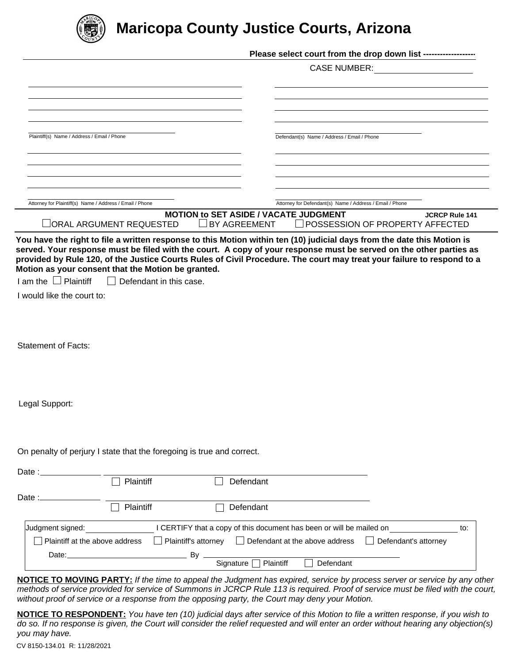

# **Maricopa County Justice Courts, Arizona**

|                                                           |                                                                       | Please select court from the drop down list ------------------                                                                                                |
|-----------------------------------------------------------|-----------------------------------------------------------------------|---------------------------------------------------------------------------------------------------------------------------------------------------------------|
|                                                           |                                                                       | <b>CASE NUMBER:</b><br><u> 1980 - Jan Barbara Barbara, prima popula</u>                                                                                       |
|                                                           |                                                                       |                                                                                                                                                               |
|                                                           |                                                                       |                                                                                                                                                               |
|                                                           |                                                                       |                                                                                                                                                               |
| Plaintiff(s) Name / Address / Email / Phone               |                                                                       | Defendant(s) Name / Address / Email / Phone                                                                                                                   |
|                                                           |                                                                       |                                                                                                                                                               |
|                                                           |                                                                       |                                                                                                                                                               |
|                                                           |                                                                       |                                                                                                                                                               |
| Attorney for Plaintiff(s) Name / Address / Email / Phone  |                                                                       | Attorney for Defendant(s) Name / Address / Email / Phone                                                                                                      |
|                                                           |                                                                       | <b>MOTION to SET ASIDE / VACATE JUDGMENT</b><br><b>JCRCP Rule 141</b>                                                                                         |
|                                                           | $\Box$ ORAL ARGUMENT REQUESTED                                        | $\Box$ BY AGREEMENT<br>□ POSSESSION OF PROPERTY AFFECTED                                                                                                      |
| $I$ am the $\Box$ Plaintiff<br>I would like the court to: | $\Box$ Defendant in this case.                                        |                                                                                                                                                               |
|                                                           |                                                                       |                                                                                                                                                               |
| <b>Statement of Facts:</b>                                |                                                                       |                                                                                                                                                               |
|                                                           |                                                                       |                                                                                                                                                               |
| Legal Support:                                            |                                                                       |                                                                                                                                                               |
|                                                           | On penalty of perjury I state that the foregoing is true and correct. |                                                                                                                                                               |
| Date : $\overline{\phantom{a}}$                           |                                                                       |                                                                                                                                                               |
|                                                           | Plaintiff                                                             | Defendant                                                                                                                                                     |
| Date $:=$                                                 | Plaintiff                                                             | Defendant                                                                                                                                                     |
|                                                           |                                                                       | to:                                                                                                                                                           |
| Judgment signed:<br>Plaintiff at the above address        |                                                                       | I CERTIFY that a copy of this document has been or will be mailed on<br>$\Box$ Defendant at the above address<br>Plaintiff's attorney<br>Defendant's attorney |
|                                                           |                                                                       | Signature<br>Plaintiff<br>Defendant                                                                                                                           |

*methods of service provided for service of Summons in JCRCP Rule 113 is required. Proof of service must be filed with the court, without proof of service or a response from the opposing party, the Court may deny your Motion.*

**NOTICE TO RESPONDENT:** *You have ten (10) judicial days after service of this Motion to file a written response, if you wish to do so. If no response is given, the Court will consider the relief requested and will enter an order without hearing any objection(s) you may have.*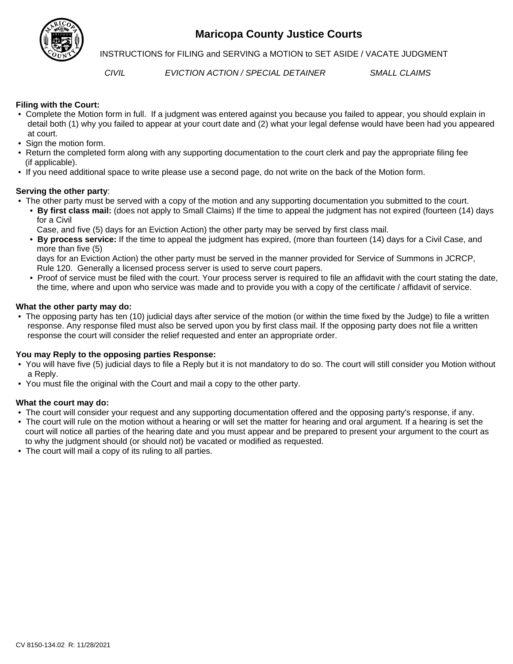

# **Maricopa County Justice Courts**

**INSTRUCTIONS for FILING and SERVING a MOTION to SET ASIDE / VACATE JUDGMENT** 

*CIVIL EVICTION ACTION / SPECIAL DETAINER SMALL CLAIMS*

### **Filing with the Court:**

- Complete the Motion form in full. If a judgment was entered against you because you failed to appear, you should explain in detail both (1) why you failed to appear at your court date and (2) what your legal defense would have been had you appeared at court.
- Sign the motion form.
- Return the completed form along with any supporting documentation to the court clerk and pay the appropriate filing fee (if applicable).
- If you need additional space to write please use a second page, do not write on the back of the Motion form.

### **Serving the other party**:

- The other party must be served with a copy of the motion and any supporting documentation you submitted to the court.
	- **By first class mail:** (does not apply to Small Claims) If the time to appeal the judgment has not expired (fourteen (14) days for a Civil

Case, and five (5) days for an Eviction Action) the other party may be served by first class mail.

 • **By process service:** If the time to appeal the judgment has expired, (more than fourteen (14) days for a Civil Case, and more than five (5)

 days for an Eviction Action) the other party must be served in the manner provided for Service of Summons in JCRCP, Rule 120. Generally a licensed process server is used to serve court papers.

 • Proof of service must be filed with the court. Your process server is required to file an affidavit with the court stating the date, the time, where and upon who service was made and to provide you with a copy of the certificate / affidavit of service.

### **What the other party may do:**

 • The opposing party has ten (10) judicial days after service of the motion (or within the time fixed by the Judge) to file a written response. Any response filed must also be served upon you by first class mail. If the opposing party does not file a written response the court will consider the relief requested and enter an appropriate order.

### **You may Reply to the opposing parties Response:**

- You will have five (5) judicial days to file a Reply but it is not mandatory to do so. The court will still consider you Motion without a Reply.
- You must file the original with the Court and mail a copy to the other party.

### **What the court may do:**

- The court will consider your request and any supporting documentation offered and the opposing party's response, if any.
- The court will rule on the motion without a hearing or will set the matter for hearing and oral argument. If a hearing is set the court will notice all parties of the hearing date and you must appear and be prepared to present your argument to the court as to why the judgment should (or should not) be vacated or modified as requested.
- The court will mail a copy of its ruling to all parties.